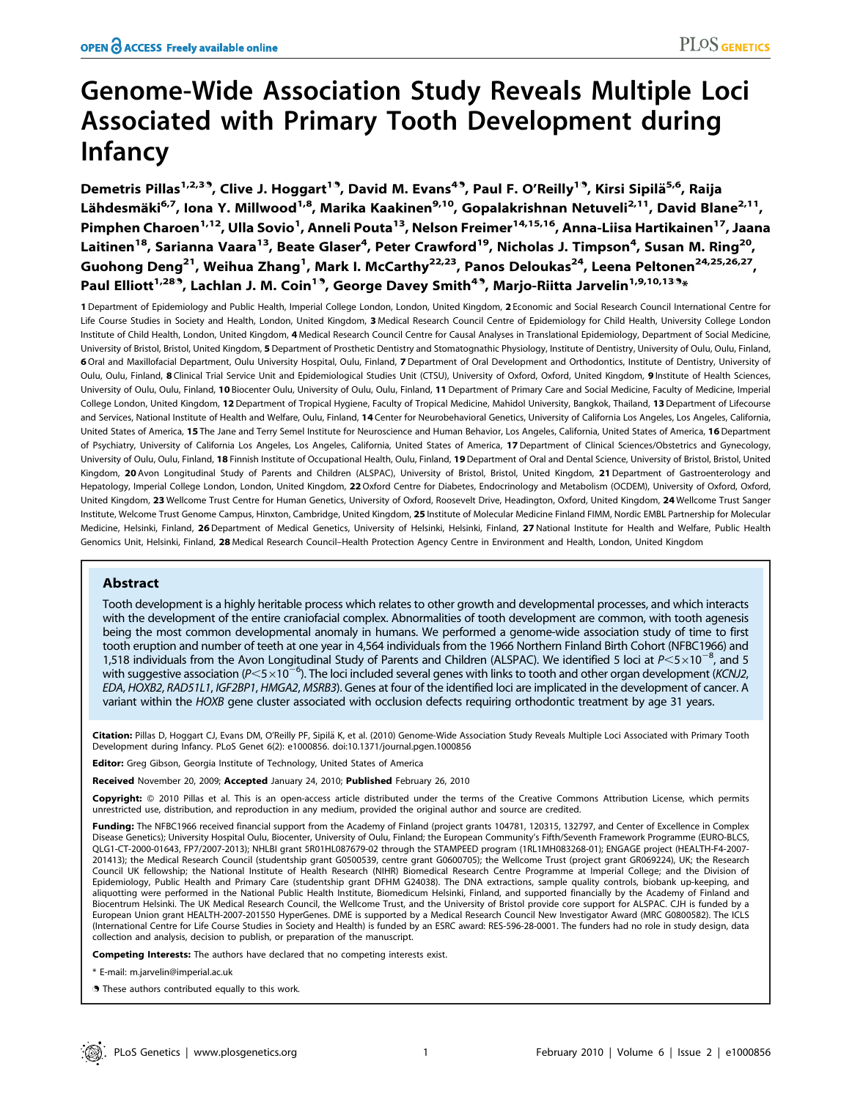# Genome-Wide Association Study Reveals Multiple Loci Associated with Primary Tooth Development during Infancy

Demetris Pillas<sup>1,2,39</sup>, Clive J. Hoggart<sup>1.9</sup>, David M. Evans<sup>4.9</sup>, Paul F. O'Reilly<sup>1.9</sup>, Kirsi Sipilä<sup>5,6</sup>, Raija Lähdesmäki<sup>6,7</sup>, Iona Y. Millwood<sup>1,8</sup>, Marika Kaakinen<sup>9,10</sup>, Gopalakrishnan Netuveli<sup>2,11</sup>, David Blane<sup>2,11</sup>, Pimphen Charoen<sup>1,12</sup>, Ulla Sovio<sup>1</sup>, Anneli Pouta<sup>13</sup>, Nelson Freimer<sup>14,15,16</sup>, Anna-Liisa Hartikainen<sup>17</sup>, Jaana Laitinen<sup>18</sup>, Sarianna Vaara<sup>13</sup>, Beate Glaser<sup>4</sup>, Peter Crawford<sup>19</sup>, Nicholas J. Timpson<sup>4</sup>, Susan M. Ring<sup>20</sup>, Guohong Deng<sup>21</sup>, Weihua Zhang<sup>1</sup>, Mark I. McCarthy<sup>22,23</sup>, Panos Deloukas<sup>24</sup>, Leena Peltonen<sup>24,25,26,27</sup>, Paul Elliott<sup>1,289</sup>, Lachlan J. M. Coin<sup>19</sup>, George Davey Smith<sup>49</sup>, Marjo-Riitta Jarvelin<sup>1,9,10,139</sup>\*

1 Department of Epidemiology and Public Health, Imperial College London, London, United Kingdom, 2 Economic and Social Research Council International Centre for Life Course Studies in Society and Health, London, United Kingdom, 3 Medical Research Council Centre of Epidemiology for Child Health, University College London Institute of Child Health, London, United Kingdom, 4 Medical Research Council Centre for Causal Analyses in Translational Epidemiology, Department of Social Medicine, University of Bristol, Bristol, United Kingdom, 5 Department of Prosthetic Dentistry and Stomatognathic Physiology, Institute of Dentistry, University of Oulu, Oulu, Finland, 6 Oral and Maxillofacial Department, Oulu University Hospital, Oulu, Finland, 7 Department of Oral Development and Orthodontics, Institute of Dentistry, University of Oulu, Oulu, Finland, 8 Clinical Trial Service Unit and Epidemiological Studies Unit (CTSU), University of Oxford, Oxford, United Kingdom, 9 Institute of Health Sciences, University of Oulu, Oulu, Finland, 10 Biocenter Oulu, University of Oulu, Oulu, Finland, 11 Department of Primary Care and Social Medicine, Faculty of Medicine, Imperial College London, United Kingdom, 12 Department of Tropical Hygiene, Faculty of Tropical Medicine, Mahidol University, Bangkok, Thailand, 13 Department of Lifecourse and Services, National Institute of Health and Welfare, Oulu, Finland, 14 Center for Neurobehavioral Genetics, University of California Los Angeles, Los Angeles, California, United States of America, 15 The Jane and Terry Semel Institute for Neuroscience and Human Behavior, Los Angeles, California, United States of America, 16 Department of Psychiatry, University of California Los Angeles, Los Angeles, California, United States of America, 17 Department of Clinical Sciences/Obstetrics and Gynecology, University of Oulu, Oulu, Finland, 18 Finnish Institute of Occupational Health, Oulu, Finland, 19 Department of Oral and Dental Science, University of Bristol, Bristol, United Kingdom, 20 Avon Longitudinal Study of Parents and Children (ALSPAC), University of Bristol, Bristol, United Kingdom, 21 Department of Gastroenterology and Hepatology, Imperial College London, London, United Kingdom, 22 Oxford Centre for Diabetes, Endocrinology and Metabolism (OCDEM), University of Oxford, Oxford, United Kingdom, 23 Wellcome Trust Centre for Human Genetics, University of Oxford, Roosevelt Drive, Headington, Oxford, United Kingdom, 24 Wellcome Trust Sanger Institute, Welcome Trust Genome Campus, Hinxton, Cambridge, United Kingdom, 25 Institute of Molecular Medicine Finland FIMM, Nordic EMBL Partnership for Molecular Medicine, Helsinki, Finland, 26 Department of Medical Genetics, University of Helsinki, Helsinki, Finland, 27 National Institute for Health and Welfare, Public Health Genomics Unit, Helsinki, Finland, 28 Medical Research Council–Health Protection Agency Centre in Environment and Health, London, United Kingdom

# Abstract

Tooth development is a highly heritable process which relates to other growth and developmental processes, and which interacts with the development of the entire craniofacial complex. Abnormalities of tooth development are common, with tooth agenesis being the most common developmental anomaly in humans. We performed a genome-wide association study of time to first tooth eruption and number of teeth at one year in 4,564 individuals from the 1966 Northern Finland Birth Cohort (NFBC1966) and 1,518 individuals from the Avon Longitudinal Study of Parents and Children (ALSPAC). We identified 5 loci at  $P<$ 5 $\times$ 10<sup>-8</sup>, and 5 with suggestive association (P $<$ 5 $\times$ 10 $^{-6}$ ). The loci included several genes with links to tooth and other organ development (*KCNJ2*, EDA, HOXB2, RAD51L1, IGF2BP1, HMGA2, MSRB3). Genes at four of the identified loci are implicated in the development of cancer. A variant within the HOXB gene cluster associated with occlusion defects requiring orthodontic treatment by age 31 years.

Citation: Pillas D, Hoggart CJ, Evans DM, O'Reilly PF, Sipilä K, et al. (2010) Genome-Wide Association Study Reveals Multiple Loci Associated with Primary Tooth Development during Infancy. PLoS Genet 6(2): e1000856. doi:10.1371/journal.pgen.1000856

Editor: Greg Gibson, Georgia Institute of Technology, United States of America

Received November 20, 2009; Accepted January 24, 2010; Published February 26, 2010

Copyright: @ 2010 Pillas et al. This is an open-access article distributed under the terms of the Creative Commons Attribution License, which permits unrestricted use, distribution, and reproduction in any medium, provided the original author and source are credited.

Funding: The NFBC1966 received financial support from the Academy of Finland (project grants 104781, 120315, 132797, and Center of Excellence in Complex Disease Genetics); University Hospital Oulu, Biocenter, University of Oulu, Finland; the European Community's Fifth/Seventh Framework Programme (EURO-BLCS, QLG1-CT-2000-01643, FP7/2007-2013); NHLBI grant 5R01HL087679-02 through the STAMPEED program (1RL1MH083268-01); ENGAGE project (HEALTH-F4-2007- 201413); the Medical Research Council (studentship grant G0500539, centre grant G0600705); the Wellcome Trust (project grant GR069224), UK; the Research Council UK fellowship; the National Institute of Health Research (NIHR) Biomedical Research Centre Programme at Imperial College; and the Division of Epidemiology, Public Health and Primary Care (studentship grant DFHM G24038). The DNA extractions, sample quality controls, biobank up-keeping, and aliquotting were performed in the National Public Health Institute, Biomedicum Helsinki, Finland, and supported financially by the Academy of Finland and Biocentrum Helsinki. The UK Medical Research Council, the Wellcome Trust, and the University of Bristol provide core support for ALSPAC. CJH is funded by a European Union grant HEALTH-2007-201550 HyperGenes. DME is supported by a Medical Research Council New Investigator Award (MRC G0800582). The ICLS (International Centre for Life Course Studies in Society and Health) is funded by an ESRC award: RES-596-28-0001. The funders had no role in study design, data collection and analysis, decision to publish, or preparation of the manuscript.

Competing Interests: The authors have declared that no competing interests exist.

\* E-mail: m.jarvelin@imperial.ac.uk

. These authors contributed equally to this work.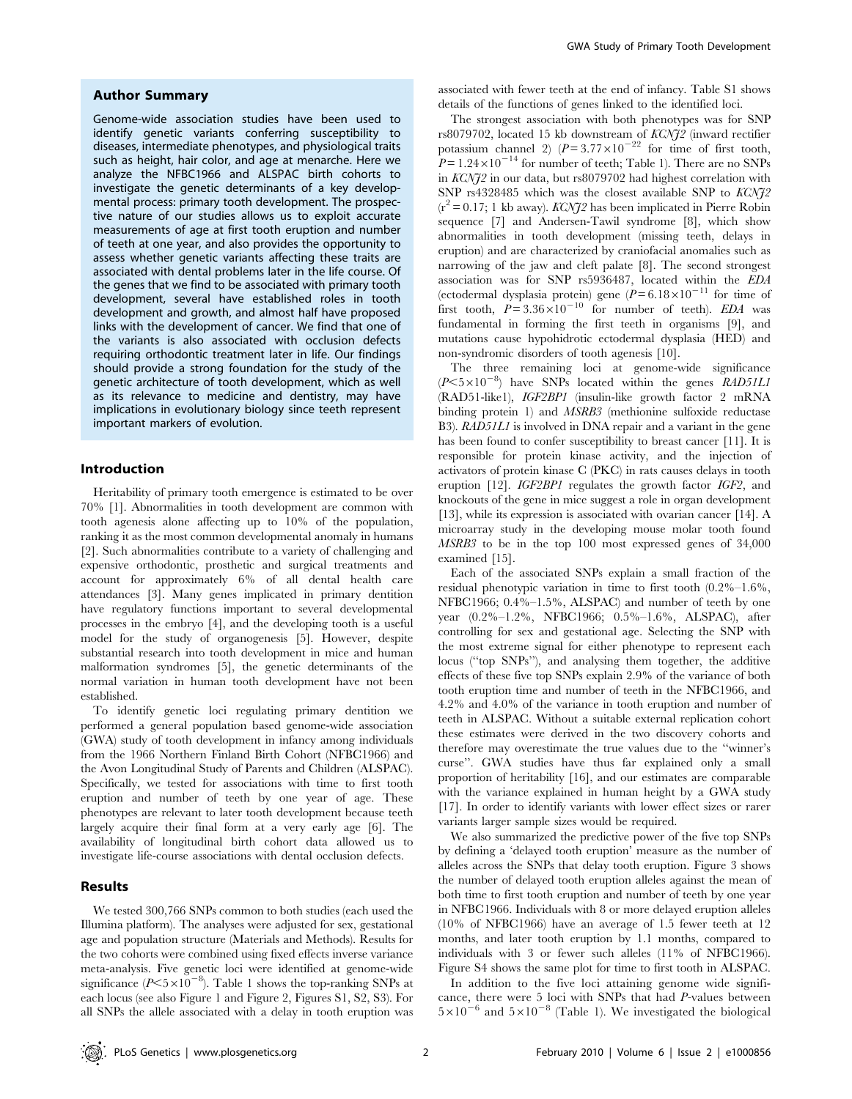## Author Summary

Genome-wide association studies have been used to identify genetic variants conferring susceptibility to diseases, intermediate phenotypes, and physiological traits such as height, hair color, and age at menarche. Here we analyze the NFBC1966 and ALSPAC birth cohorts to investigate the genetic determinants of a key developmental process: primary tooth development. The prospective nature of our studies allows us to exploit accurate measurements of age at first tooth eruption and number of teeth at one year, and also provides the opportunity to assess whether genetic variants affecting these traits are associated with dental problems later in the life course. Of the genes that we find to be associated with primary tooth development, several have established roles in tooth development and growth, and almost half have proposed links with the development of cancer. We find that one of the variants is also associated with occlusion defects requiring orthodontic treatment later in life. Our findings should provide a strong foundation for the study of the genetic architecture of tooth development, which as well as its relevance to medicine and dentistry, may have implications in evolutionary biology since teeth represent important markers of evolution.

## Introduction

Heritability of primary tooth emergence is estimated to be over 70% [1]. Abnormalities in tooth development are common with tooth agenesis alone affecting up to 10% of the population, ranking it as the most common developmental anomaly in humans [2]. Such abnormalities contribute to a variety of challenging and expensive orthodontic, prosthetic and surgical treatments and account for approximately 6% of all dental health care attendances [3]. Many genes implicated in primary dentition have regulatory functions important to several developmental processes in the embryo [4], and the developing tooth is a useful model for the study of organogenesis [5]. However, despite substantial research into tooth development in mice and human malformation syndromes [5], the genetic determinants of the normal variation in human tooth development have not been established.

To identify genetic loci regulating primary dentition we performed a general population based genome-wide association (GWA) study of tooth development in infancy among individuals from the 1966 Northern Finland Birth Cohort (NFBC1966) and the Avon Longitudinal Study of Parents and Children (ALSPAC). Specifically, we tested for associations with time to first tooth eruption and number of teeth by one year of age. These phenotypes are relevant to later tooth development because teeth largely acquire their final form at a very early age [6]. The availability of longitudinal birth cohort data allowed us to investigate life-course associations with dental occlusion defects.

## Results

We tested 300,766 SNPs common to both studies (each used the Illumina platform). The analyses were adjusted for sex, gestational age and population structure (Materials and Methods). Results for the two cohorts were combined using fixed effects inverse variance meta-analysis. Five genetic loci were identified at genome-wide significance ( $P \le 5 \times 10^{-8}$ ). Table 1 shows the top-ranking SNPs at each locus (see also Figure 1 and Figure 2, Figures S1, S2, S3). For all SNPs the allele associated with a delay in tooth eruption was associated with fewer teeth at the end of infancy. Table S1 shows details of the functions of genes linked to the identified loci.

The strongest association with both phenotypes was for SNP rs8079702, located 15 kb downstream of KCNJ2 (inward rectifier potassium channel 2)  $(P=3.77\times10^{-22}$  for time of first tooth,  $P = 1.24 \times 10^{-14}$  for number of teeth; Table 1). There are no SNPs in KCNJ2 in our data, but rs8079702 had highest correlation with SNP rs4328485 which was the closest available SNP to KCNJ2  $(r^2 = 0.17; 1 \text{ kb away})$ . KCNJ2 has been implicated in Pierre Robin sequence [7] and Andersen-Tawil syndrome [8], which show abnormalities in tooth development (missing teeth, delays in eruption) and are characterized by craniofacial anomalies such as narrowing of the jaw and cleft palate [8]. The second strongest association was for SNP rs5936487, located within the EDA (ectodermal dysplasia protein) gene  $(P=6.18\times10^{-11}$  for time of first tooth,  $P = 3.36 \times 10^{-10}$  for number of teeth). EDA was fundamental in forming the first teeth in organisms [9], and mutations cause hypohidrotic ectodermal dysplasia (HED) and non-syndromic disorders of tooth agenesis [10].

The three remaining loci at genome-wide significance  $(P<5\times10^{-8})$  have SNPs located within the genes RAD51L1 (RAD51-like1), IGF2BP1 (insulin-like growth factor 2 mRNA binding protein 1) and MSRB3 (methionine sulfoxide reductase B3). RAD51L1 is involved in DNA repair and a variant in the gene has been found to confer susceptibility to breast cancer [11]. It is responsible for protein kinase activity, and the injection of activators of protein kinase C (PKC) in rats causes delays in tooth eruption [12]. IGF2BP1 regulates the growth factor IGF2, and knockouts of the gene in mice suggest a role in organ development [13], while its expression is associated with ovarian cancer [14]. A microarray study in the developing mouse molar tooth found MSRB3 to be in the top 100 most expressed genes of 34,000 examined [15].

Each of the associated SNPs explain a small fraction of the residual phenotypic variation in time to first tooth (0.2%–1.6%, NFBC1966; 0.4%–1.5%, ALSPAC) and number of teeth by one year (0.2%–1.2%, NFBC1966; 0.5%–1.6%, ALSPAC), after controlling for sex and gestational age. Selecting the SNP with the most extreme signal for either phenotype to represent each locus ("top SNPs"), and analysing them together, the additive effects of these five top SNPs explain 2.9% of the variance of both tooth eruption time and number of teeth in the NFBC1966, and 4.2% and 4.0% of the variance in tooth eruption and number of teeth in ALSPAC. Without a suitable external replication cohort these estimates were derived in the two discovery cohorts and therefore may overestimate the true values due to the ''winner's curse''. GWA studies have thus far explained only a small proportion of heritability [16], and our estimates are comparable with the variance explained in human height by a GWA study [17]. In order to identify variants with lower effect sizes or rarer variants larger sample sizes would be required.

We also summarized the predictive power of the five top SNPs by defining a 'delayed tooth eruption' measure as the number of alleles across the SNPs that delay tooth eruption. Figure 3 shows the number of delayed tooth eruption alleles against the mean of both time to first tooth eruption and number of teeth by one year in NFBC1966. Individuals with 8 or more delayed eruption alleles (10% of NFBC1966) have an average of 1.5 fewer teeth at 12 months, and later tooth eruption by 1.1 months, compared to individuals with 3 or fewer such alleles (11% of NFBC1966). Figure S4 shows the same plot for time to first tooth in ALSPAC.

In addition to the five loci attaining genome wide significance, there were 5 loci with SNPs that had P-values between  $5\times10^{-6}$  and  $5\times10^{-8}$  (Table 1). We investigated the biological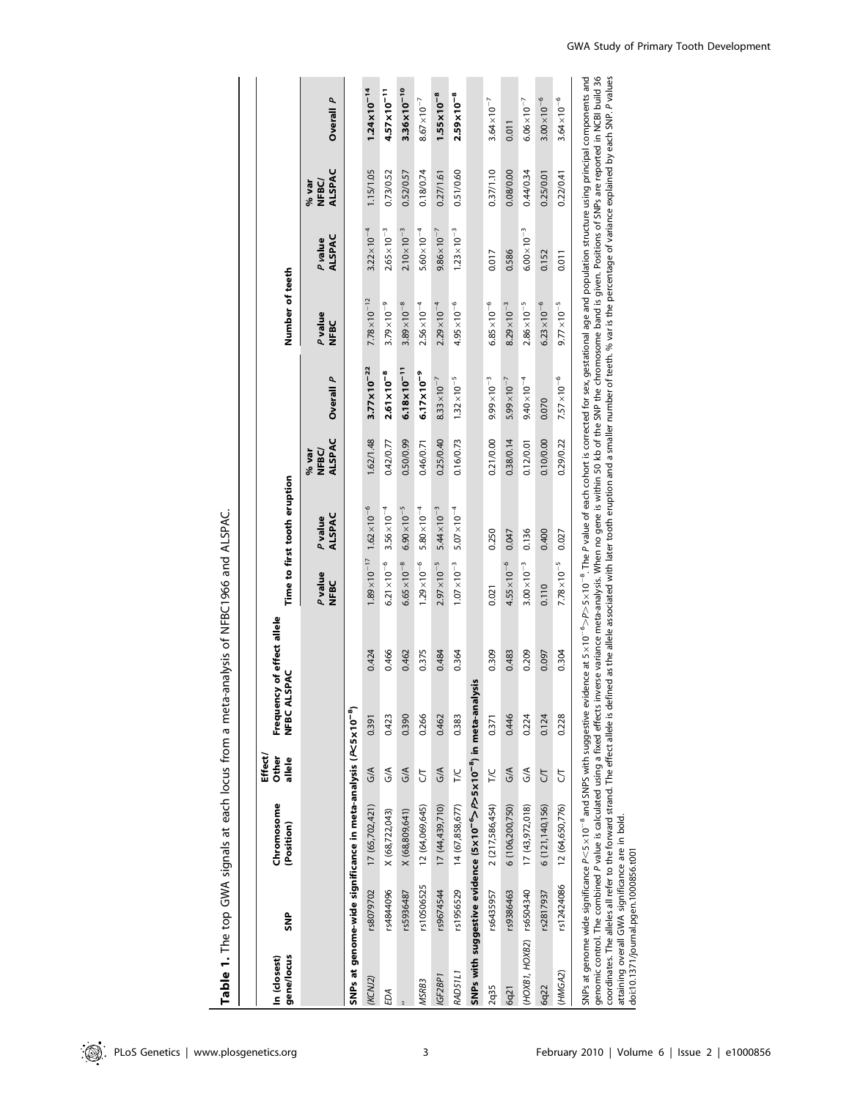Table 1. The top GWA signals at each locus from a meta-analysis of NFBC1966 and ALSPAC. Table 1. The top GWA signals at each locus from a meta-analysis of NFBC1966 and ALSPAC.

| gene/locus<br>In (closest) | SNP        | Chromosome<br>(Position)                                                                                                                                                                                                                                                                                              | Effect<br>Other<br>allele | Frequency of effect allele<br><b>SPAC</b><br>ミロロンローズ |       |                               | Time to first tooth eruption |                                  |                                                                                                                                                                        | Number of teeth        |                       |                          |                                        |
|----------------------------|------------|-----------------------------------------------------------------------------------------------------------------------------------------------------------------------------------------------------------------------------------------------------------------------------------------------------------------------|---------------------------|------------------------------------------------------|-------|-------------------------------|------------------------------|----------------------------------|------------------------------------------------------------------------------------------------------------------------------------------------------------------------|------------------------|-----------------------|--------------------------|----------------------------------------|
|                            |            |                                                                                                                                                                                                                                                                                                                       |                           |                                                      |       | <b>P</b> value<br><b>NFBC</b> | ALSPAC<br>Pvalue             | ALSPAC<br><b>NFBC</b><br>$%$ var | Overall P                                                                                                                                                              | Pvalue<br>NFBC         | ALSPAC<br>P value     | ALSPAC<br>NFBC/<br>% var | Overall P                              |
|                            |            | SNPs at genome-wide significance in meta-analysis (P<5x10 <sup>-8</sup> )                                                                                                                                                                                                                                             |                           |                                                      |       |                               |                              |                                  |                                                                                                                                                                        |                        |                       |                          |                                        |
| (KCNJ2)                    | rs8079702  | 17 (65,702,421)                                                                                                                                                                                                                                                                                                       | $\frac{1}{9}$             | 0.391                                                | 0.424 | $1.89 \times 10^{-17}$        | $1.62 \times 10^{-6}$        | 1.62/1.48                        | $3.77 \times 10^{-22}$                                                                                                                                                 | $7.78 \times 10^{-12}$ | $3.22 \times 10^{-4}$ | 1.15/1.05                | $1.24 \times 10^{-14}$                 |
| ЕDА                        | rs4844096  | X (68,722,043)                                                                                                                                                                                                                                                                                                        | SÁ                        | 0.423                                                | 0.466 | $6.21 \times 10^{-6}$         | $3.56 \times 10^{-4}$        | 0.42/0.77                        | $2.61 \times 10^{-8}$                                                                                                                                                  | $3.79 \times 10^{-9}$  | $2.65 \times 10^{-3}$ | 0.73/0.52                | $4.57 \times 10^{-11}$                 |
|                            | rs5936487  | X (68,809,641)                                                                                                                                                                                                                                                                                                        | $\frac{1}{2}$             | 0.390                                                | 0.462 | $6.65 \times 10^{-8}$         | $6.90 \times 10^{-5}$        | 0.50/0.99                        | $6.18 \times 10^{-11}$                                                                                                                                                 | $3.89 \times 10^{-8}$  | $2.10 \times 10^{-3}$ | 0.52/0.57                | 3.36×10 <sup>-10</sup>                 |
| MSRB3                      | rs10506525 | 12 (64,069,645)                                                                                                                                                                                                                                                                                                       | 5                         | 0.266                                                | 0.375 | $1.29 \times 10^{-6}$         | $5.80 \times 10^{-4}$        | 0.46/0.71                        | $6.17 \times 10^{-9}$                                                                                                                                                  | $2.56 \times 10^{-4}$  | $5.60 \times 10^{-4}$ | 0.18/0.74                | $8.67 \times 10^{-7}$                  |
| <b>IGF2BP1</b>             | rs9674544  | 17(44,439,710)                                                                                                                                                                                                                                                                                                        | $\frac{1}{2}$             | 0.462                                                | 0.484 | $2.97 \times 10^{-5}$         | $5.44 \times 10^{-3}$        | 0.25/0.40                        | $8.33 \times 10^{-7}$                                                                                                                                                  | $2.29\times10^{-4}$    | $9.86 \times 10^{-7}$ | 0.27/1.61                | $1.55 \times 10^{-8}$                  |
| RAD51L1                    | rs1956529  | 14 (67,858,677)                                                                                                                                                                                                                                                                                                       | <b>NC</b>                 | 0.383                                                | 0.364 | $1.07 \times 10^{-3}$         | $5.07 \times 10^{-4}$        | 0.16/0.73                        | $1.32 \times 10^{-5}$                                                                                                                                                  | $4.95 \times 10^{-6}$  | $1.23 \times 10^{-3}$ | 0.51/0.60                | $2.59 \times 10^{-8}$                  |
|                            |            | SNPs with suggestive evidence (5x10 <sup>-6</sup> >P>5x10 <sup>-8</sup> ) in meta-ana                                                                                                                                                                                                                                 |                           | lysis                                                |       |                               |                              |                                  |                                                                                                                                                                        |                        |                       |                          |                                        |
| 2q35                       | rs6435957  | 2 (217,586,454)                                                                                                                                                                                                                                                                                                       | <b>7/C</b>                | 0.371                                                | 0.309 | 0.021                         | 0.250                        | 0.21/0.00                        | $9.99\times10^{-3}$                                                                                                                                                    | $6.85 \times 10^{-6}$  | 0.017                 | 0.37/1.10                | $3.64 \times 10^{-7}$                  |
| 6q21                       | rs9386463  | 6 (106,200,750)                                                                                                                                                                                                                                                                                                       | $\frac{1}{2}$             | 0.446                                                | 0.483 | $4.55 \times 10^{-6}$         | 0.047                        | 0.38/0.14                        | $5.99 \times 10^{-7}$                                                                                                                                                  | $8.29 \times 10^{-3}$  | 0.586                 | 0.08/0.00                | 0.011                                  |
| (HOXB1, HOXB2) rs6504340   |            | 17 (43,972,018)                                                                                                                                                                                                                                                                                                       | S                         | 0.224                                                | 0.209 | $3.00 \times 10^{-3}$         | 0.136                        | 0.12/0.01                        | $9.40 \times 10^{-4}$                                                                                                                                                  | $2.86 \times 10^{-5}$  | $6.00\times10^{-3}$   | 0.44/0.34                | $6.06 \times 10^{-7}$                  |
| 6q22                       | rs2817937  | 6 (121, 140, 156)                                                                                                                                                                                                                                                                                                     | 5                         | 0.124                                                | 0.097 | 0.110                         | 0.400                        | 0.10/0.00                        | 0.070                                                                                                                                                                  | $6.23 \times 10^{-6}$  | 0.152                 | 0.25/0.01                | $3.00 \times 10^{-6}$                  |
| (HMGA2)                    | rs12424086 | 12 (64,650,776)                                                                                                                                                                                                                                                                                                       | 5                         | 0.228                                                | 0.304 | $7.78 \times 10^{-5}$         | 0.027                        | 0.29/0.22                        | $7.57 \times 10^{-6}$                                                                                                                                                  | $9.77 \times 10^{-5}$  | 0.011                 | 0.22/0.41                | $3.64 \times 10^{-6}$                  |
|                            |            | genomic control. The combined P value is calculated using a fixed effects inverse variance meta-analysis. When no gene is within 50 kb of the SNP the chromosome band is given. Positions of SNPs are reported in NCBI build 3<br>SNPs at genome wide significance $P < 5 \times 10^{-8}$ and SNPS with suggestive ev |                           |                                                      |       |                               |                              |                                  | idence at 5 × 10 $^{-6}$ > P $>$ 11 $^{-6}$ . The P value of each cohort is corrected for sex, gestational age and population structure using principal components and | وساء والمستحدة         |                       |                          | and situated the same cases of and in- |

nts and<br>uild 36<br><sup>o</sup>values coordinates. The alleles all refer to the forward strand. The effect allele is defined as the allele associated with later tooth eruption and a smaller of teeth. % var is the percentage of variance explained by each SNP. P  $>$ P $>$ 5 $\times$ 10<sup>-8</sup>. The P value of each cohort is corrected for sex, gestational age and population structure using principal components and explained by each SNP. P variance |coordinates. The alleles all refer to the forward strand. The effect allele is defined as the allele associated with later tooth eruption and a smaller number of teeth. % var is the percentage of \<br>|ataining overall GWA s attaining overall GWA significance are in bold. doi:10.1371/journal.pgen.1000856.t001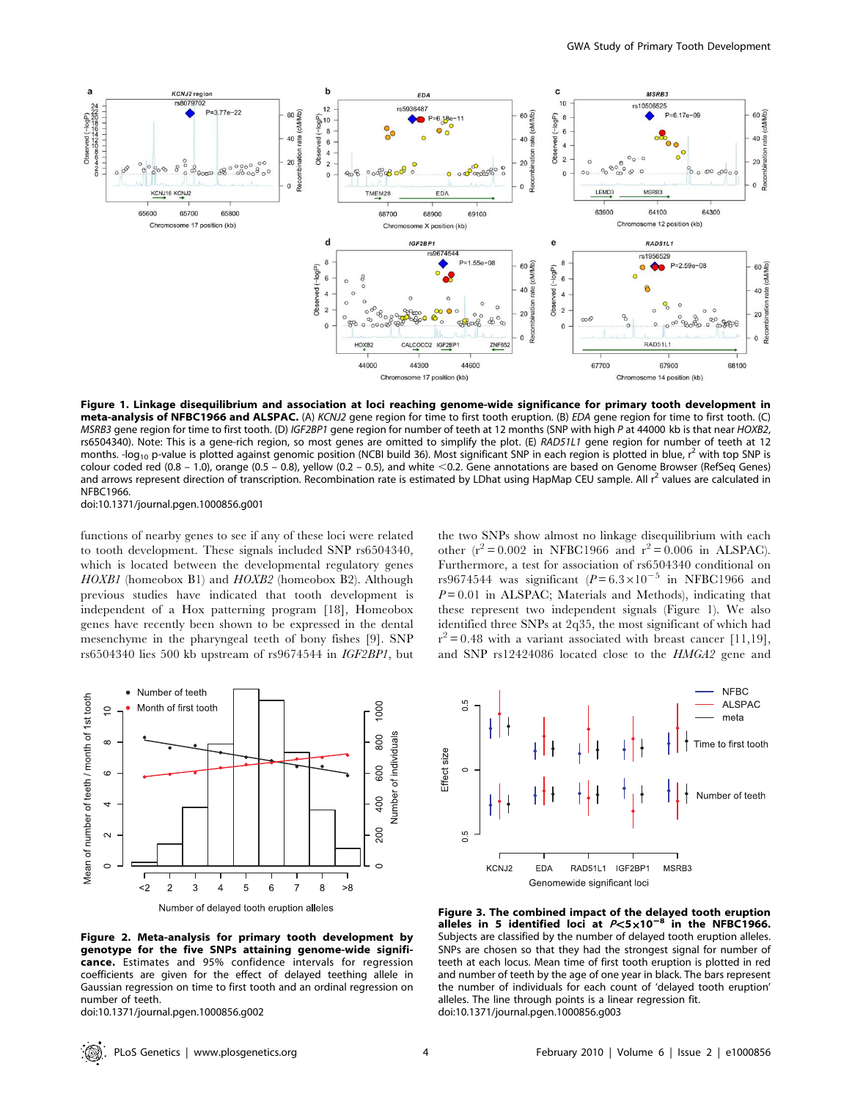

Figure 1. Linkage disequilibrium and association at loci reaching genome-wide significance for primary tooth development in meta-analysis of NFBC1966 and ALSPAC. (A) KCNJ2 gene region for time to first tooth eruption. (B) EDA gene region for time to first tooth. (C) MSRB3 gene region for time to first tooth. (D) IGF2BP1 gene region for number of teeth at 12 months (SNP with high P at 44000 kb is that near HOXB2, rs6504340). Note: This is a gene-rich region, so most genes are omitted to simplify the plot. (E) RAD51L1 gene region for number of teeth at 12 months. -log<sub>10</sub> p-value is plotted against genomic position (NCBI build 36). Most significant SNP in each region is plotted in blue, r<sup>2</sup> with top SNP is colour coded red (0.8 - 1.0), orange (0.5 - 0.8), yellow (0.2 - 0.5), and white <0.2. Gene annotations are based on Genome Browser (RefSeq Genes) and arrows represent direction of transcription. Recombination rate is estimated by LDhat using HapMap CEU sample. All  $r^2$  values are calculated in NFBC1966.

doi:10.1371/journal.pgen.1000856.g001

functions of nearby genes to see if any of these loci were related to tooth development. These signals included SNP rs6504340, which is located between the developmental regulatory genes HOXB1 (homeobox B1) and HOXB2 (homeobox B2). Although previous studies have indicated that tooth development is independent of a Hox patterning program [18], Homeobox genes have recently been shown to be expressed in the dental mesenchyme in the pharyngeal teeth of bony fishes [9]. SNP rs6504340 lies 500 kb upstream of rs9674544 in IGF2BP1, but the two SNPs show almost no linkage disequilibrium with each other  $(r^2 = 0.002$  in NFBC1966 and  $r^2 = 0.006$  in ALSPAC). Furthermore, a test for association of rs6504340 conditional on rs9674544 was significant  $(P=6.3\times10^{-5}$  in NFBC1966 and  $P = 0.01$  in ALSPAC; Materials and Methods), indicating that these represent two independent signals (Figure 1). We also identified three SNPs at 2q35, the most significant of which had  $r^2 = 0.48$  with a variant associated with breast cancer [11,19], and SNP rs12424086 located close to the HMGA2 gene and



Figure 2. Meta-analysis for primary tooth development by genotype for the five SNPs attaining genome-wide significance. Estimates and 95% confidence intervals for regression coefficients are given for the effect of delayed teething allele in Gaussian regression on time to first tooth and an ordinal regression on number of teeth.

doi:10.1371/journal.pgen.1000856.g002



Figure 3. The combined impact of the delayed tooth eruption alleles in 5 identified loci at  $P < 5 \times 10^{-8}$  in the NFBC1966. Subjects are classified by the number of delayed tooth eruption alleles. SNPs are chosen so that they had the strongest signal for number of teeth at each locus. Mean time of first tooth eruption is plotted in red and number of teeth by the age of one year in black. The bars represent the number of individuals for each count of 'delayed tooth eruption' alleles. The line through points is a linear regression fit. doi:10.1371/journal.pgen.1000856.g003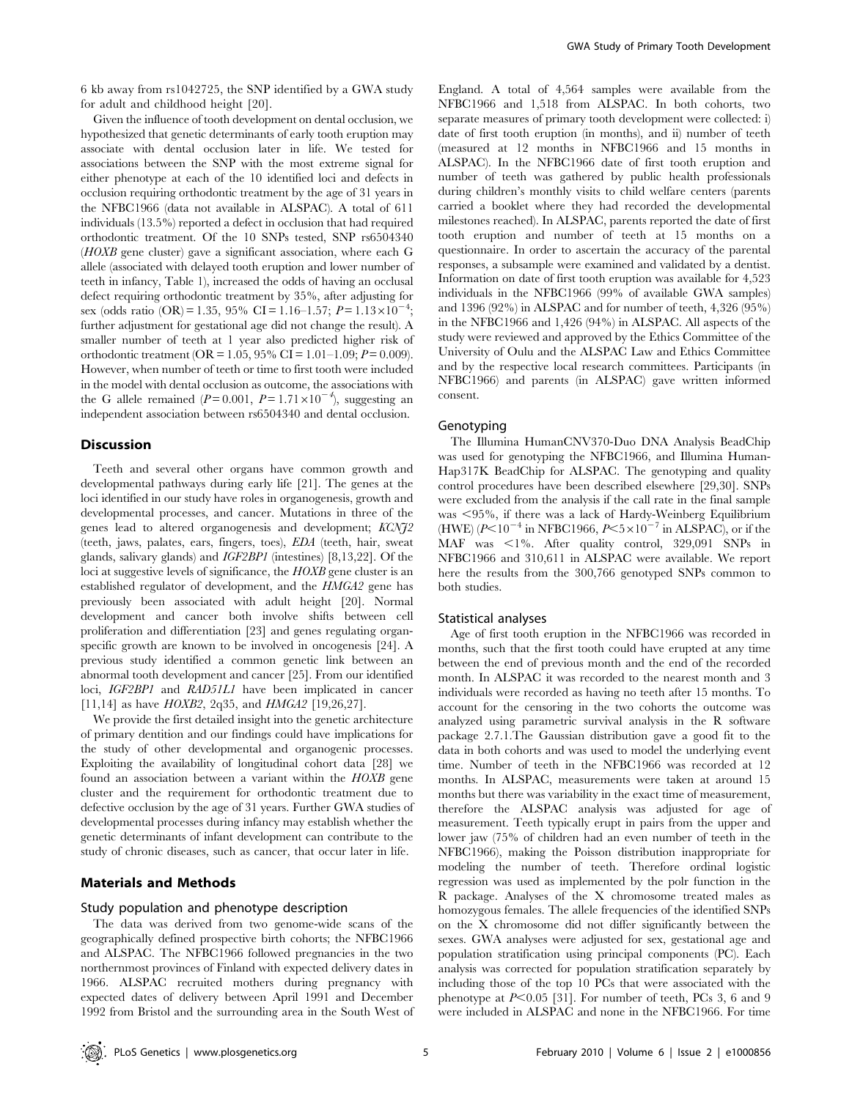6 kb away from rs1042725, the SNP identified by a GWA study for adult and childhood height [20].

Given the influence of tooth development on dental occlusion, we hypothesized that genetic determinants of early tooth eruption may associate with dental occlusion later in life. We tested for associations between the SNP with the most extreme signal for either phenotype at each of the 10 identified loci and defects in occlusion requiring orthodontic treatment by the age of 31 years in the NFBC1966 (data not available in ALSPAC). A total of 611 individuals (13.5%) reported a defect in occlusion that had required orthodontic treatment. Of the 10 SNPs tested, SNP rs6504340 (HOXB gene cluster) gave a significant association, where each G allele (associated with delayed tooth eruption and lower number of teeth in infancy, Table 1), increased the odds of having an occlusal defect requiring orthodontic treatment by 35%, after adjusting for sex (odds ratio (OR) = 1.35, 95% CI = 1.16–1.57;  $P = 1.13 \times 10^{-4}$ ; further adjustment for gestational age did not change the result). A smaller number of teeth at 1 year also predicted higher risk of orthodontic treatment ( $OR = 1.05$ , 95% CI = 1.01–1.09;  $P = 0.009$ ). However, when number of teeth or time to first tooth were included in the model with dental occlusion as outcome, the associations with the G allele remained ( $P = 0.001$ ,  $P = 1.71 \times 10^{-4}$ ), suggesting an independent association between rs6504340 and dental occlusion.

## Discussion

Teeth and several other organs have common growth and developmental pathways during early life [21]. The genes at the loci identified in our study have roles in organogenesis, growth and developmental processes, and cancer. Mutations in three of the genes lead to altered organogenesis and development; KCNJ2 (teeth, jaws, palates, ears, fingers, toes), EDA (teeth, hair, sweat glands, salivary glands) and IGF2BP1 (intestines) [8,13,22]. Of the loci at suggestive levels of significance, the HOXB gene cluster is an established regulator of development, and the HMGA2 gene has previously been associated with adult height [20]. Normal development and cancer both involve shifts between cell proliferation and differentiation [23] and genes regulating organspecific growth are known to be involved in oncogenesis [24]. A previous study identified a common genetic link between an abnormal tooth development and cancer [25]. From our identified loci, IGF2BP1 and RAD51L1 have been implicated in cancer [11,14] as have *HOXB2*, 2q35, and *HMGA2* [19,26,27].

We provide the first detailed insight into the genetic architecture of primary dentition and our findings could have implications for the study of other developmental and organogenic processes. Exploiting the availability of longitudinal cohort data [28] we found an association between a variant within the HOXB gene cluster and the requirement for orthodontic treatment due to defective occlusion by the age of 31 years. Further GWA studies of developmental processes during infancy may establish whether the genetic determinants of infant development can contribute to the study of chronic diseases, such as cancer, that occur later in life.

## Materials and Methods

## Study population and phenotype description

The data was derived from two genome-wide scans of the geographically defined prospective birth cohorts; the NFBC1966 and ALSPAC. The NFBC1966 followed pregnancies in the two northernmost provinces of Finland with expected delivery dates in 1966. ALSPAC recruited mothers during pregnancy with expected dates of delivery between April 1991 and December 1992 from Bristol and the surrounding area in the South West of England. A total of 4,564 samples were available from the NFBC1966 and 1,518 from ALSPAC. In both cohorts, two separate measures of primary tooth development were collected: i) date of first tooth eruption (in months), and ii) number of teeth (measured at 12 months in NFBC1966 and 15 months in ALSPAC). In the NFBC1966 date of first tooth eruption and number of teeth was gathered by public health professionals during children's monthly visits to child welfare centers (parents carried a booklet where they had recorded the developmental milestones reached). In ALSPAC, parents reported the date of first tooth eruption and number of teeth at 15 months on a questionnaire. In order to ascertain the accuracy of the parental responses, a subsample were examined and validated by a dentist. Information on date of first tooth eruption was available for 4,523 individuals in the NFBC1966 (99% of available GWA samples) and 1396 (92%) in ALSPAC and for number of teeth, 4,326 (95%) in the NFBC1966 and 1,426 (94%) in ALSPAC. All aspects of the study were reviewed and approved by the Ethics Committee of the University of Oulu and the ALSPAC Law and Ethics Committee and by the respective local research committees. Participants (in NFBC1966) and parents (in ALSPAC) gave written informed consent.

#### Genotyping

The Illumina HumanCNV370-Duo DNA Analysis BeadChip was used for genotyping the NFBC1966, and Illumina Human-Hap317K BeadChip for ALSPAC. The genotyping and quality control procedures have been described elsewhere [29,30]. SNPs were excluded from the analysis if the call rate in the final sample was  $\leq$ 95%, if there was a lack of Hardy-Weinberg Equilibrium (HWE)  $(P<10^{-4}$  in NFBC1966,  $P<5\times10^{-7}$  in ALSPAC), or if the MAF was  $\leq 1\%$ . After quality control, 329,091 SNPs in NFBC1966 and 310,611 in ALSPAC were available. We report here the results from the 300,766 genotyped SNPs common to both studies.

#### Statistical analyses

Age of first tooth eruption in the NFBC1966 was recorded in months, such that the first tooth could have erupted at any time between the end of previous month and the end of the recorded month. In ALSPAC it was recorded to the nearest month and 3 individuals were recorded as having no teeth after 15 months. To account for the censoring in the two cohorts the outcome was analyzed using parametric survival analysis in the R software package 2.7.1.The Gaussian distribution gave a good fit to the data in both cohorts and was used to model the underlying event time. Number of teeth in the NFBC1966 was recorded at 12 months. In ALSPAC, measurements were taken at around 15 months but there was variability in the exact time of measurement, therefore the ALSPAC analysis was adjusted for age of measurement. Teeth typically erupt in pairs from the upper and lower jaw (75% of children had an even number of teeth in the NFBC1966), making the Poisson distribution inappropriate for modeling the number of teeth. Therefore ordinal logistic regression was used as implemented by the polr function in the R package. Analyses of the X chromosome treated males as homozygous females. The allele frequencies of the identified SNPs on the X chromosome did not differ significantly between the sexes. GWA analyses were adjusted for sex, gestational age and population stratification using principal components (PC). Each analysis was corrected for population stratification separately by including those of the top 10 PCs that were associated with the phenotype at  $P<0.05$  [31]. For number of teeth, PCs 3, 6 and 9 were included in ALSPAC and none in the NFBC1966. For time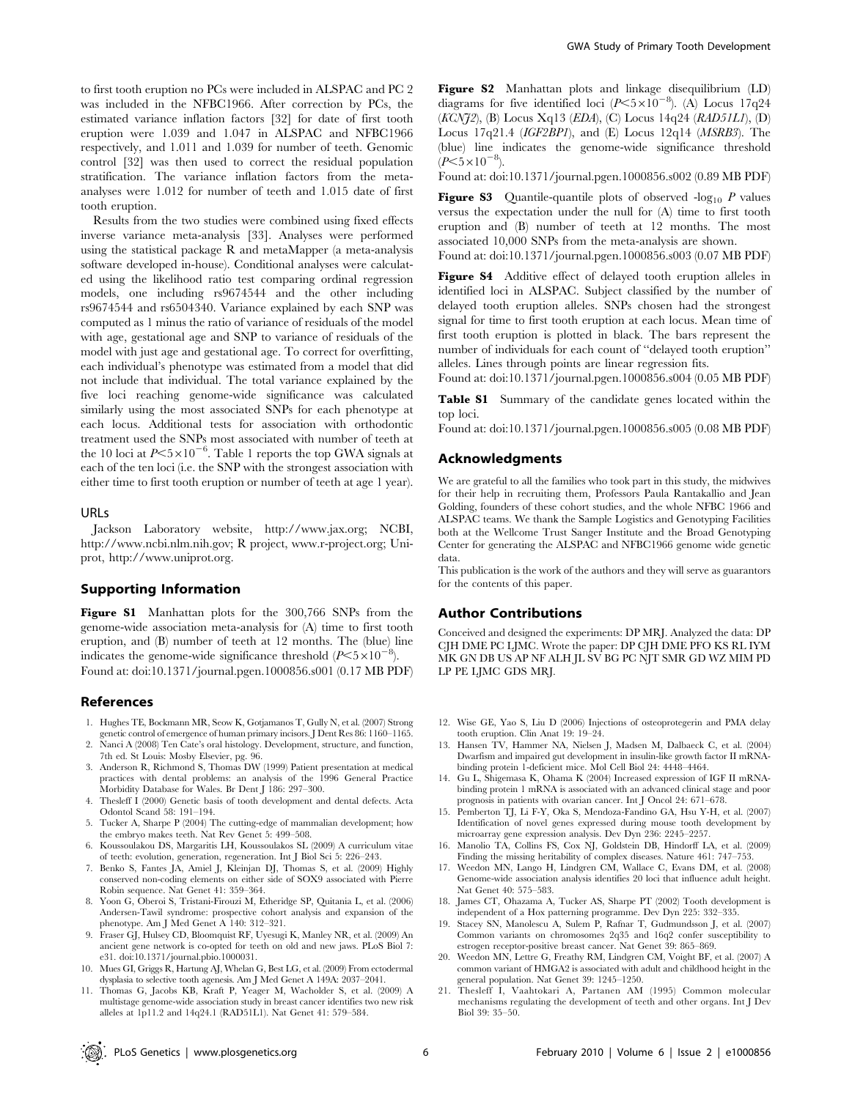to first tooth eruption no PCs were included in ALSPAC and PC 2 was included in the NFBC1966. After correction by PCs, the estimated variance inflation factors [32] for date of first tooth eruption were 1.039 and 1.047 in ALSPAC and NFBC1966 respectively, and 1.011 and 1.039 for number of teeth. Genomic control [32] was then used to correct the residual population stratification. The variance inflation factors from the metaanalyses were 1.012 for number of teeth and 1.015 date of first tooth eruption.

Results from the two studies were combined using fixed effects inverse variance meta-analysis [33]. Analyses were performed using the statistical package R and metaMapper (a meta-analysis software developed in-house). Conditional analyses were calculated using the likelihood ratio test comparing ordinal regression models, one including rs9674544 and the other including rs9674544 and rs6504340. Variance explained by each SNP was computed as 1 minus the ratio of variance of residuals of the model with age, gestational age and SNP to variance of residuals of the model with just age and gestational age. To correct for overfitting, each individual's phenotype was estimated from a model that did not include that individual. The total variance explained by the five loci reaching genome-wide significance was calculated similarly using the most associated SNPs for each phenotype at each locus. Additional tests for association with orthodontic treatment used the SNPs most associated with number of teeth at the 10 loci at  $P \le 5 \times 10^{-6}$ . Table 1 reports the top GWA signals at each of the ten loci (i.e. the SNP with the strongest association with either time to first tooth eruption or number of teeth at age 1 year).

## URLs

Jackson Laboratory website, http://www.jax.org; NCBI, http://www.ncbi.nlm.nih.gov; R project, www.r-project.org; Uniprot, http://www.uniprot.org.

## Supporting Information

Figure S1 Manhattan plots for the 300,766 SNPs from the genome-wide association meta-analysis for (A) time to first tooth eruption, and (B) number of teeth at 12 months. The (blue) line indicates the genome-wide significance threshold  $(P<5\times10^{-8})$ . Found at: doi:10.1371/journal.pgen.1000856.s001 (0.17 MB PDF)

## References

- 1. Hughes TE, Bockmann MR, Seow K, Gotjamanos T, Gully N, et al. (2007) Strong genetic control of emergence of human primary incisors. J Dent Res 86: 1160–1165.
- 2. Nanci A (2008) Ten Cate's oral histology. Development, structure, and function, 7th ed. St Louis: Mosby Elsevier, pg. 96.
- 3. Anderson R, Richmond S, Thomas DW (1999) Patient presentation at medical practices with dental problems: an analysis of the 1996 General Practice Morbidity Database for Wales. Br Dent J 186: 297–300.
- 4. Thesleff I (2000) Genetic basis of tooth development and dental defects. Acta Odontol Scand 58: 191–194.
- 5. Tucker A, Sharpe P (2004) The cutting-edge of mammalian development; how the embryo makes teeth. Nat Rev Genet 5: 499–508.
- 6. Koussoulakou DS, Margaritis LH, Koussoulakos SL (2009) A curriculum vitae of teeth: evolution, generation, regeneration. Int J Biol Sci 5: 226–243.
- 7. Benko S, Fantes JA, Amiel J, Kleinjan DJ, Thomas S, et al. (2009) Highly conserved non-coding elements on either side of SOX9 associated with Pierre Robin sequence. Nat Genet 41: 359–364.
- 8. Yoon G, Oberoi S, Tristani-Firouzi M, Etheridge SP, Quitania L, et al. (2006) Andersen-Tawil syndrome: prospective cohort analysis and expansion of the phenotype. Am J Med Genet A 140: 312–321.
- 9. Fraser GJ, Hulsey CD, Bloomquist RF, Uyesugi K, Manley NR, et al. (2009) An ancient gene network is co-opted for teeth on old and new jaws. PLoS Biol 7: e31. doi:10.1371/journal.pbio.1000031.
- 10. Mues GI, Griggs R, Hartung AJ, Whelan G, Best LG, et al. (2009) From ectodermal dysplasia to selective tooth agenesis. Am J Med Genet A 149A: 2037–2041.
- 11. Thomas G, Jacobs KB, Kraft P, Yeager M, Wacholder S, et al. (2009) A multistage genome-wide association study in breast cancer identifies two new risk alleles at 1p11.2 and 14q24.1 (RAD51L1). Nat Genet 41: 579–584.

Figure S2 Manhattan plots and linkage disequilibrium (LD) diagrams for five identified loci ( $P \le 5 \times 10^{-8}$ ). (A) Locus 17q24 (KCNJ2), (B) Locus Xq13 (EDA), (C) Locus 14q24 (RAD51L1), (D) Locus 17q21.4 (IGF2BP1), and (E) Locus 12q14 (MSRB3). The (blue) line indicates the genome-wide significance threshold  $(P<5\times10^{-8})$ .

Found at: doi:10.1371/journal.pgen.1000856.s002 (0.89 MB PDF)

**Figure S3** Quantile-quantile plots of observed  $-\log_{10} P$  values versus the expectation under the null for (A) time to first tooth eruption and (B) number of teeth at 12 months. The most associated 10,000 SNPs from the meta-analysis are shown. Found at: doi:10.1371/journal.pgen.1000856.s003 (0.07 MB PDF)

Figure S4 Additive effect of delayed tooth eruption alleles in identified loci in ALSPAC. Subject classified by the number of delayed tooth eruption alleles. SNPs chosen had the strongest signal for time to first tooth eruption at each locus. Mean time of first tooth eruption is plotted in black. The bars represent the number of individuals for each count of ''delayed tooth eruption'' alleles. Lines through points are linear regression fits.

Found at: doi:10.1371/journal.pgen.1000856.s004 (0.05 MB PDF)

Table S1 Summary of the candidate genes located within the top loci.

Found at: doi:10.1371/journal.pgen.1000856.s005 (0.08 MB PDF)

## Acknowledgments

We are grateful to all the families who took part in this study, the midwives for their help in recruiting them, Professors Paula Rantakallio and Jean Golding, founders of these cohort studies, and the whole NFBC 1966 and ALSPAC teams. We thank the Sample Logistics and Genotyping Facilities both at the Wellcome Trust Sanger Institute and the Broad Genotyping Center for generating the ALSPAC and NFBC1966 genome wide genetic data.

This publication is the work of the authors and they will serve as guarantors for the contents of this paper.

## Author Contributions

Conceived and designed the experiments: DP MRJ. Analyzed the data: DP CJH DME PC LJMC. Wrote the paper: DP CJH DME PFO KS RL IYM MK GN DB US AP NF ALH JL SV BG PC NJT SMR GD WZ MIM PD LP PE LJMC GDS MRJ.

- 12. Wise GE, Yao S, Liu D (2006) Injections of osteoprotegerin and PMA delay tooth eruption. Clin Anat 19: 19–24.
- 13. Hansen TV, Hammer NA, Nielsen J, Madsen M, Dalbaeck C, et al. (2004) Dwarfism and impaired gut development in insulin-like growth factor II mRNAbinding protein 1-deficient mice. Mol Cell Biol 24: 4448–4464.
- 14. Gu L, Shigemasa K, Ohama K (2004) Increased expression of IGF II mRNAbinding protein 1 mRNA is associated with an advanced clinical stage and poor prognosis in patients with ovarian cancer. Int J Oncol 24: 671–678.
- 15. Pemberton TJ, Li F-Y, Oka S, Mendoza-Fandino GA, Hsu Y-H, et al. (2007) Identification of novel genes expressed during mouse tooth development by microarray gene expression analysis. Dev Dyn 236: 2245–2257.
- 16. Manolio TA, Collins FS, Cox NJ, Goldstein DB, Hindorff LA, et al. (2009) Finding the missing heritability of complex diseases. Nature 461: 747–753.
- 17. Weedon MN, Lango H, Lindgren CM, Wallace C, Evans DM, et al. (2008) Genome-wide association analysis identifies 20 loci that influence adult height. Nat Genet 40: 575–583.
- 18. James CT, Ohazama A, Tucker AS, Sharpe PT (2002) Tooth development is independent of a Hox patterning programme. Dev Dyn 225: 332–335.
- 19. Stacey SN, Manolescu A, Sulem P, Rafnar T, Gudmundsson J, et al. (2007) Common variants on chromosomes 2q35 and 16q2 confer susceptibility to estrogen receptor-positive breast cancer. Nat Genet 39: 865–869.
- 20. Weedon MN, Lettre G, Freathy RM, Lindgren CM, Voight BF, et al. (2007) A common variant of HMGA2 is associated with adult and childhood height in the general population. Nat Genet 39: 1245–1250.
- 21. Thesleff I, Vaahtokari A, Partanen AM (1995) Common molecular mechanisms regulating the development of teeth and other organs. Int J Dev Biol 39: 35–50.